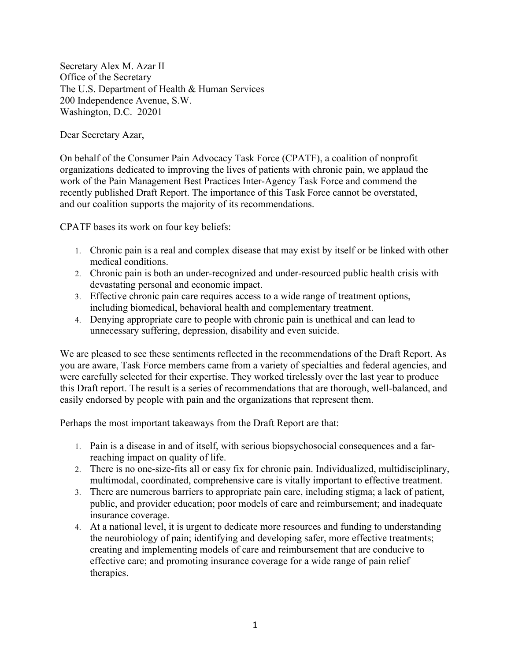Secretary Alex M. Azar II Office of the Secretary The U.S. Department of Health & Human Services 200 Independence Avenue, S.W. Washington, D.C. 20201

Dear Secretary Azar,

On behalf of the Consumer Pain Advocacy Task Force (CPATF), a coalition of nonprofit organizations dedicated to improving the lives of patients with chronic pain, we applaud the work of the Pain Management Best Practices Inter-Agency Task Force and commend the recently published Draft Report. The importance of this Task Force cannot be overstated, and our coalition supports the majority of its recommendations.

CPATF bases its work on four key beliefs:

- 1. Chronic pain is a real and complex disease that may exist by itself or be linked with other medical conditions.
- 2. Chronic pain is both an under-recognized and under-resourced public health crisis with devastating personal and economic impact.
- 3. Effective chronic pain care requires access to a wide range of treatment options, including biomedical, behavioral health and complementary treatment.
- 4. Denying appropriate care to people with chronic pain is unethical and can lead to unnecessary suffering, depression, disability and even suicide.

We are pleased to see these sentiments reflected in the recommendations of the Draft Report. As you are aware, Task Force members came from a variety of specialties and federal agencies, and were carefully selected for their expertise. They worked tirelessly over the last year to produce this Draft report. The result is a series of recommendations that are thorough, well-balanced, and easily endorsed by people with pain and the organizations that represent them.

Perhaps the most important takeaways from the Draft Report are that:

- 1. Pain is a disease in and of itself, with serious biopsychosocial consequences and a farreaching impact on quality of life.
- 2. There is no one-size-fits all or easy fix for chronic pain. Individualized, multidisciplinary, multimodal, coordinated, comprehensive care is vitally important to effective treatment.
- 3. There are numerous barriers to appropriate pain care, including stigma; a lack of patient, public, and provider education; poor models of care and reimbursement; and inadequate insurance coverage.
- 4. At a national level, it is urgent to dedicate more resources and funding to understanding the neurobiology of pain; identifying and developing safer, more effective treatments; creating and implementing models of care and reimbursement that are conducive to effective care; and promoting insurance coverage for a wide range of pain relief therapies.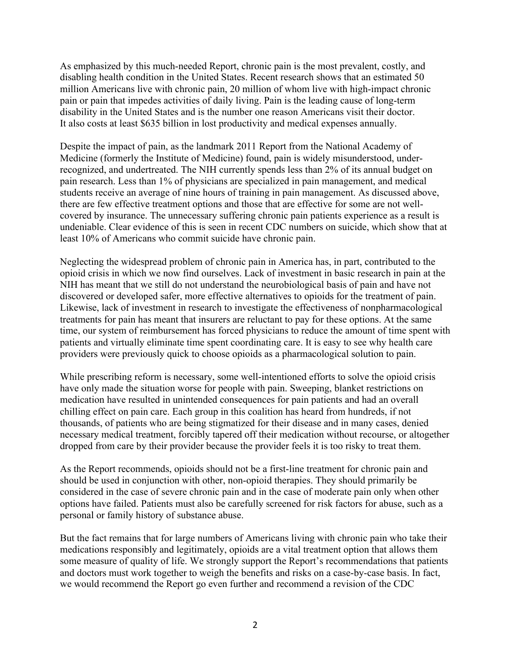As emphasized by this much-needed Report, chronic pain is the most prevalent, costly, and disabling health condition in the United States. Recent research shows that an estimated 50 million Americans live with chronic pain, 20 million of whom live with high-impact chronic pain or pain that impedes activities of daily living. Pain is the leading cause of long-term disability in the United States and is the number one reason Americans visit their doctor. It also costs at least \$635 billion in lost productivity and medical expenses annually.

Despite the impact of pain, as the landmark 2011 Report from the National Academy of Medicine (formerly the Institute of Medicine) found, pain is widely misunderstood, underrecognized, and undertreated. The NIH currently spends less than 2% of its annual budget on pain research. Less than 1% of physicians are specialized in pain management, and medical students receive an average of nine hours of training in pain management. As discussed above, there are few effective treatment options and those that are effective for some are not wellcovered by insurance. The unnecessary suffering chronic pain patients experience as a result is undeniable. Clear evidence of this is seen in recent CDC numbers on suicide, which show that at least 10% of Americans who commit suicide have chronic pain.

Neglecting the widespread problem of chronic pain in America has, in part, contributed to the opioid crisis in which we now find ourselves. Lack of investment in basic research in pain at the NIH has meant that we still do not understand the neurobiological basis of pain and have not discovered or developed safer, more effective alternatives to opioids for the treatment of pain. Likewise, lack of investment in research to investigate the effectiveness of nonpharmacological treatments for pain has meant that insurers are reluctant to pay for these options. At the same time, our system of reimbursement has forced physicians to reduce the amount of time spent with patients and virtually eliminate time spent coordinating care. It is easy to see why health care providers were previously quick to choose opioids as a pharmacological solution to pain.

While prescribing reform is necessary, some well-intentioned efforts to solve the opioid crisis have only made the situation worse for people with pain. Sweeping, blanket restrictions on medication have resulted in unintended consequences for pain patients and had an overall chilling effect on pain care. Each group in this coalition has heard from hundreds, if not thousands, of patients who are being stigmatized for their disease and in many cases, denied necessary medical treatment, forcibly tapered off their medication without recourse, or altogether dropped from care by their provider because the provider feels it is too risky to treat them.

As the Report recommends, opioids should not be a first-line treatment for chronic pain and should be used in conjunction with other, non-opioid therapies. They should primarily be considered in the case of severe chronic pain and in the case of moderate pain only when other options have failed. Patients must also be carefully screened for risk factors for abuse, such as a personal or family history of substance abuse.

But the fact remains that for large numbers of Americans living with chronic pain who take their medications responsibly and legitimately, opioids are a vital treatment option that allows them some measure of quality of life. We strongly support the Report's recommendations that patients and doctors must work together to weigh the benefits and risks on a case-by-case basis. In fact, we would recommend the Report go even further and recommend a revision of the CDC